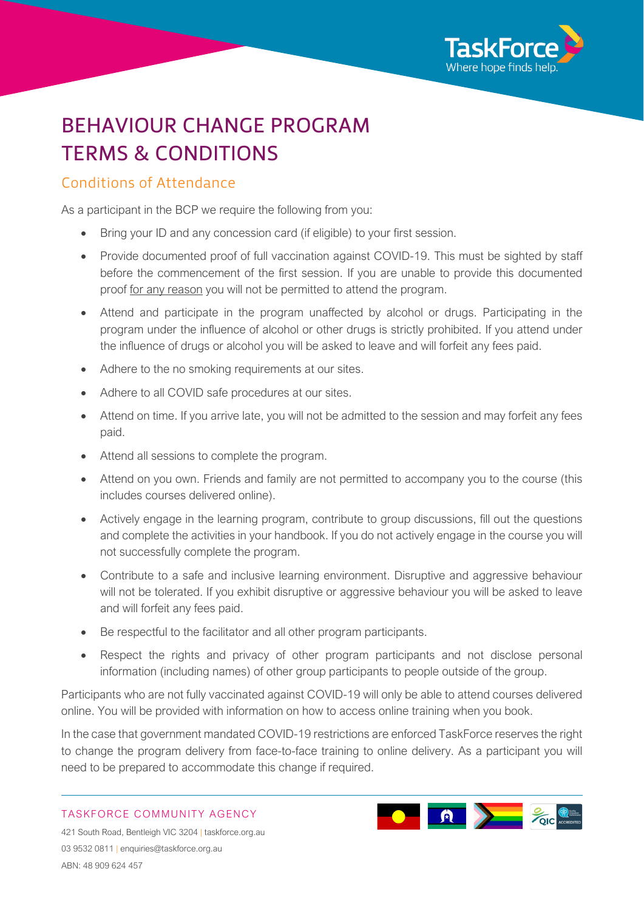

# BEHAVIOUR CHANGE PROGRAM TERMS & CONDITIONS

### Conditions of Attendance

As a participant in the BCP we require the following from you:

- Bring your ID and any concession card (if eligible) to your first session.
- Provide documented proof of full vaccination against COVID-19. This must be sighted by staff before the commencement of the first session. If you are unable to provide this documented proof for any reason you will not be permitted to attend the program.
- Attend and participate in the program unaffected by alcohol or drugs. Participating in the program under the influence of alcohol or other drugs is strictly prohibited. If you attend under the influence of drugs or alcohol you will be asked to leave and will forfeit any fees paid.
- Adhere to the no smoking requirements at our sites.
- Adhere to all COVID safe procedures at our sites.
- Attend on time. If you arrive late, you will not be admitted to the session and may forfeit any fees paid.
- Attend all sessions to complete the program.
- Attend on you own. Friends and family are not permitted to accompany you to the course (this includes courses delivered online).
- Actively engage in the learning program, contribute to group discussions, fill out the questions and complete the activities in your handbook. If you do not actively engage in the course you will not successfully complete the program.
- Contribute to a safe and inclusive learning environment. Disruptive and aggressive behaviour will not be tolerated. If you exhibit disruptive or aggressive behaviour you will be asked to leave and will forfeit any fees paid.
- Be respectful to the facilitator and all other program participants.
- Respect the rights and privacy of other program participants and not disclose personal information (including names) of other group participants to people outside of the group.

Participants who are not fully vaccinated against COVID-19 will only be able to attend courses delivered online. You will be provided with information on how to access online training when you book.

In the case that government mandated COVID-19 restrictions are enforced TaskForce reserves the right to change the program delivery from face-to-face training to online delivery. As a participant you will need to be prepared to accommodate this change if required.

TASKFORCE COMMUNITY AGENCY



421 South Road, Bentleigh VIC 3204 | taskforce.org.au 03 9532 0811 | [enquiries@taskforce.org.au](mailto:enquiries@taskforce.org.au) ABN: 48 909 624 457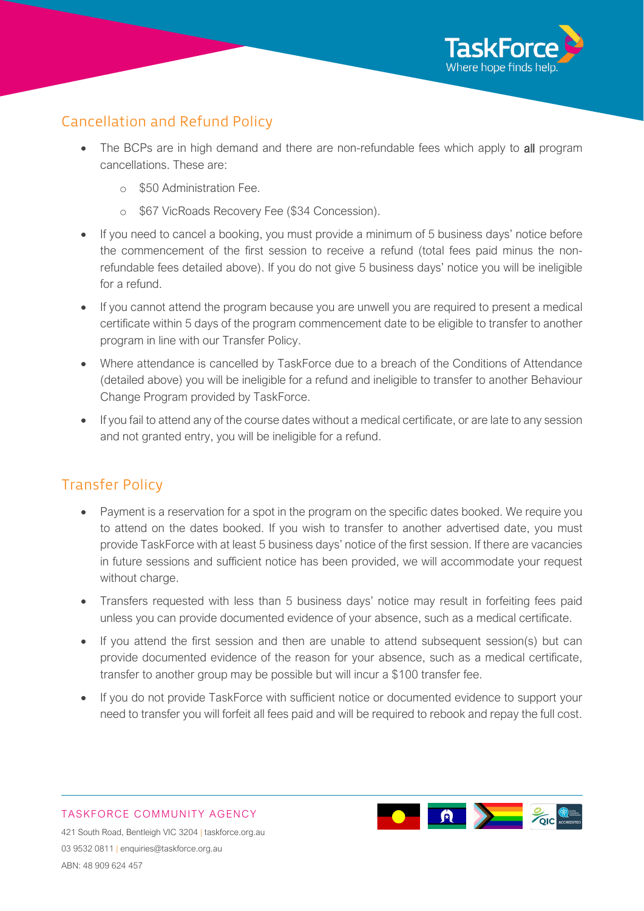

# Cancellation and Refund Policy

- The BCPs are in high demand and there are non-refundable fees which apply to all program cancellations. These are:
	- o \$50 Administration Fee.
	- o \$67 VicRoads Recovery Fee (\$34 Concession).
- If you need to cancel a booking, you must provide a minimum of 5 business days' notice before the commencement of the first session to receive a refund (total fees paid minus the nonrefundable fees detailed above). If you do not give 5 business days' notice you will be ineligible for a refund.
- If you cannot attend the program because you are unwell you are required to present a medical certificate within 5 days of the program commencement date to be eligible to transfer to another program in line with our Transfer Policy.
- Where attendance is cancelled by TaskForce due to a breach of the Conditions of Attendance (detailed above) you will be ineligible for a refund and ineligible to transfer to another Behaviour Change Program provided by TaskForce.
- If you fail to attend any of the course dates without a medical certificate, or are late to any session and not granted entry, you will be ineligible for a refund.

## Transfer Policy

- Payment is a reservation for a spot in the program on the specific dates booked. We require you to attend on the dates booked. If you wish to transfer to another advertised date, you must provide TaskForce with at least 5 business days' notice of the first session. If there are vacancies in future sessions and sufficient notice has been provided, we will accommodate your request without charge.
- Transfers requested with less than 5 business days' notice may result in forfeiting fees paid unless you can provide documented evidence of your absence, such as a medical certificate.
- If you attend the first session and then are unable to attend subsequent session(s) but can provide documented evidence of the reason for your absence, such as a medical certificate, transfer to another group may be possible but will incur a \$100 transfer fee.
- If you do not provide TaskForce with sufficient notice or documented evidence to support your need to transfer you will forfeit all fees paid and will be required to rebook and repay the full cost.



TASKFORCE COMMUNITY AGENCY 421 South Road, Bentleigh VIC 3204 | taskforce.org.au 03 9532 0811 | [enquiries@taskforce.org.au](mailto:enquiries@taskforce.org.au) ABN: 48 909 624 457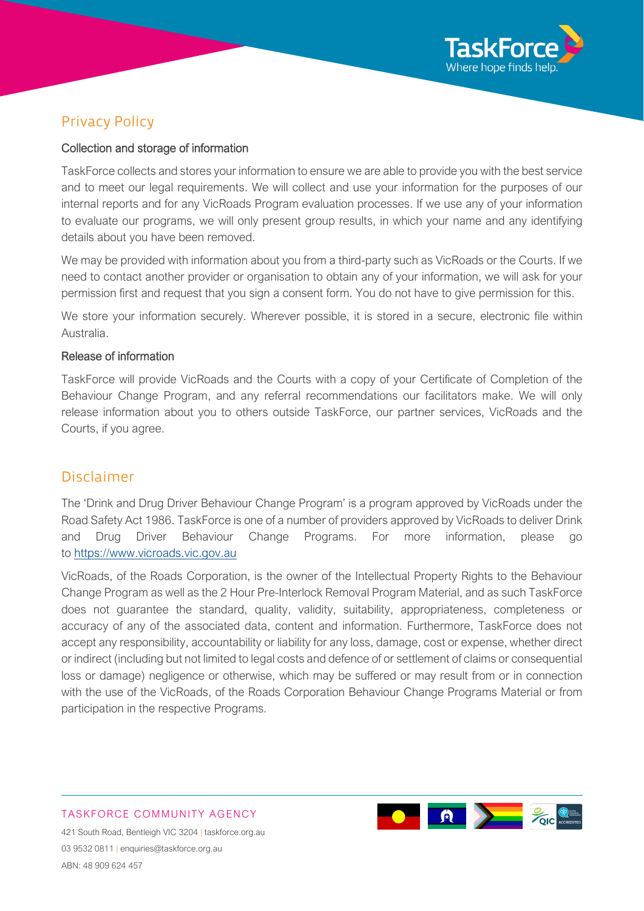

# Privacy Policy

#### Collection and storage of information

TaskForce collects and stores your information to ensure we are able to provide you with the best service and to meet our legal requirements. We will collect and use your information for the purposes of our internal reports and for any VicRoads Program evaluation processes. If we use any of your information to evaluate our programs, we will only present group results, in which your name and any identifying details about you have been removed.

We may be provided with information about you from a third-party such as VicRoads or the Courts. If we need to contact another provider or organisation to obtain any of your information, we will ask for your permission first and request that you sign a consent form. You do not have to give permission for this.

We store your information securely. Wherever possible, it is stored in a secure, electronic file within Australia.

#### Release of information

TaskForce will provide VicRoads and the Courts with a copy of your Certificate of Completion of the Behaviour Change Program, and any referral recommendations our facilitators make. We will only release information about you to others outside TaskForce, our partner services, VicRoads and the Courts, if you agree.

#### Disclaimer

The 'Drink and Drug Driver Behaviour Change Program' is a program approved by VicRoads under the Road Safety Act 1986. TaskForce is one of a number of providers approved by VicRoads to deliver Drink and Drug Driver Behaviour Change Programs. For more information, please go to [https://www.vicroads.vic.gov.au](https://www.vicroads.vic.gov.au/)

VicRoads, of the Roads Corporation, is the owner of the Intellectual Property Rights to the Behaviour Change Program as well as the 2 Hour Pre-Interlock Removal Program Material, and as such TaskForce does not guarantee the standard, quality, validity, suitability, appropriateness, completeness or accuracy of any of the associated data, content and information. Furthermore, TaskForce does not accept any responsibility, accountability or liability for any loss, damage, cost or expense, whether direct or indirect (including but not limited to legal costs and defence of or settlement of claims or consequential loss or damage) negligence or otherwise, which may be suffered or may result from or in connection with the use of the VicRoads, of the Roads Corporation Behaviour Change Programs Material or from participation in the respective Programs.

# TASKFORCE COMMUNITY AGENCY



421 South Road, Bentleigh VIC 3204 | taskforce.org.au 03 9532 0811 | [enquiries@taskforce.org.au](mailto:enquiries@taskforce.org.au) ABN: 48 909 624 457